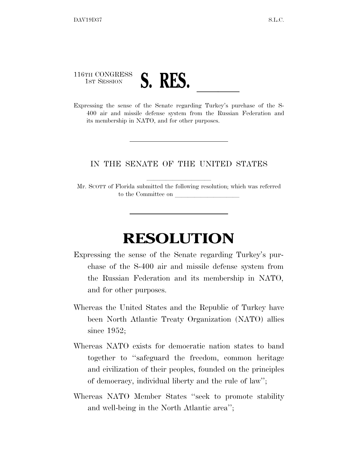116TH CONGRESS

1ST SESSION **S. RES.** <u>Letting</u> Turkey's purchase of the S-400 air and missile defense system from the Russian Federation and its membership in NATO, and for other purposes.

## IN THE SENATE OF THE UNITED STATES

Mr. SCOTT of Florida submitted the following resolution; which was referred to the Committee on

## **RESOLUTION**

- Expressing the sense of the Senate regarding Turkey's purchase of the S-400 air and missile defense system from the Russian Federation and its membership in NATO, and for other purposes.
- Whereas the United States and the Republic of Turkey have been North Atlantic Treaty Organization (NATO) allies since 1952;
- Whereas NATO exists for democratic nation states to band together to ''safeguard the freedom, common heritage and civilization of their peoples, founded on the principles of democracy, individual liberty and the rule of law'';
- Whereas NATO Member States ''seek to promote stability and well-being in the North Atlantic area'';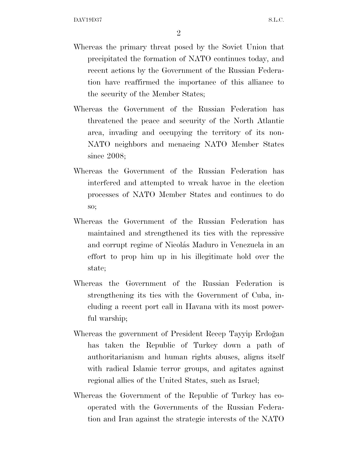- Whereas the primary threat posed by the Soviet Union that precipitated the formation of NATO continues today, and recent actions by the Government of the Russian Federation have reaffirmed the importance of this alliance to the security of the Member States;
- Whereas the Government of the Russian Federation has threatened the peace and security of the North Atlantic area, invading and occupying the territory of its non-NATO neighbors and menacing NATO Member States since 2008;
- Whereas the Government of the Russian Federation has interfered and attempted to wreak havoc in the election processes of NATO Member States and continues to do so;
- Whereas the Government of the Russian Federation has maintained and strengthened its ties with the repressive and corrupt regime of Nicolás Maduro in Venezuela in an effort to prop him up in his illegitimate hold over the state;
- Whereas the Government of the Russian Federation is strengthening its ties with the Government of Cuba, including a recent port call in Havana with its most powerful warship;
- Whereas the government of President Recep Tayyip Erdoğan has taken the Republic of Turkey down a path of authoritarianism and human rights abuses, aligns itself with radical Islamic terror groups, and agitates against regional allies of the United States, such as Israel;
- Whereas the Government of the Republic of Turkey has cooperated with the Governments of the Russian Federation and Iran against the strategic interests of the NATO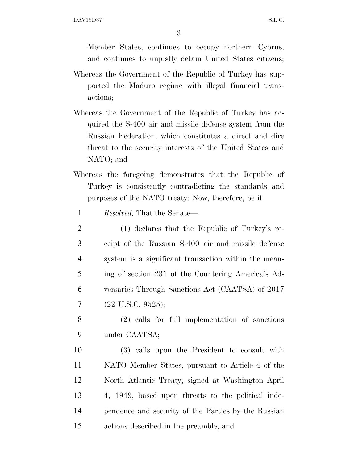Member States, continues to occupy northern Cyprus, and continues to unjustly detain United States citizens;

- Whereas the Government of the Republic of Turkey has supported the Maduro regime with illegal financial transactions;
- Whereas the Government of the Republic of Turkey has acquired the S-400 air and missile defense system from the Russian Federation, which constitutes a direct and dire threat to the security interests of the United States and NATO; and
- Whereas the foregoing demonstrates that the Republic of Turkey is consistently contradicting the standards and purposes of the NATO treaty: Now, therefore, be it
- 1 *Resolved,* That the Senate—
- 2 (1) declares that the Republic of Turkey's re-3 ceipt of the Russian S-400 air and missile defense 4 system is a significant transaction within the mean-5 ing of section 231 of the Countering America's Ad-6 versaries Through Sanctions Act (CAATSA) of 2017  $7 \quad (22 \text{ U.S.C. } 9525);$
- 8 (2) calls for full implementation of sanctions 9 under CAATSA;
- 10 (3) calls upon the President to consult with 11 NATO Member States, pursuant to Article 4 of the 12 North Atlantic Treaty, signed at Washington April 13 4, 1949, based upon threats to the political inde-14 pendence and security of the Parties by the Russian 15 actions described in the preamble; and